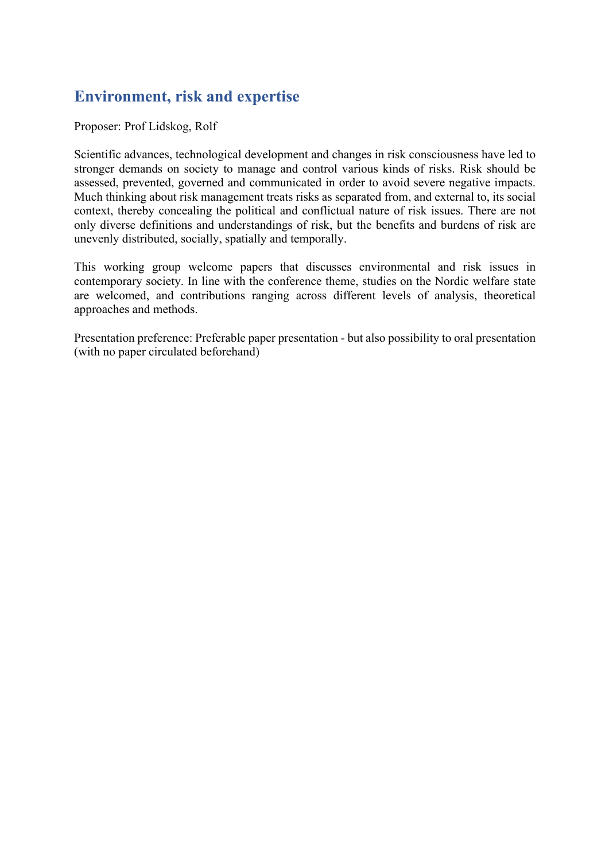# **Environment, risk and expertise**

Proposer: Prof Lidskog, Rolf

Scientific advances, technological development and changes in risk consciousness have led to stronger demands on society to manage and control various kinds of risks. Risk should be assessed, prevented, governed and communicated in order to avoid severe negative impacts. Much thinking about risk management treats risks as separated from, and external to, its social context, thereby concealing the political and conflictual nature of risk issues. There are not only diverse definitions and understandings of risk, but the benefits and burdens of risk are unevenly distributed, socially, spatially and temporally.

This working group welcome papers that discusses environmental and risk issues in contemporary society. In line with the conference theme, studies on the Nordic welfare state are welcomed, and contributions ranging across different levels of analysis, theoretical approaches and methods.

Presentation preference: Preferable paper presentation - but also possibility to oral presentation (with no paper circulated beforehand)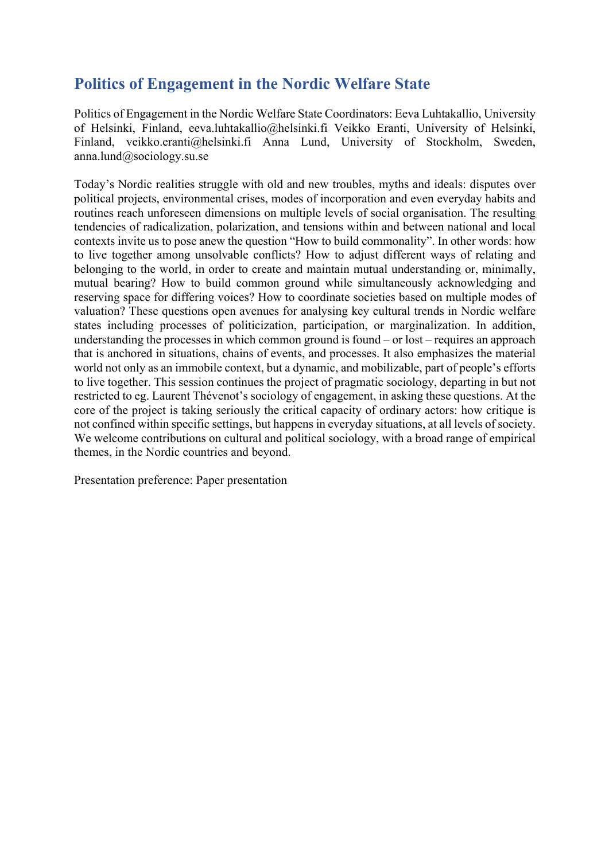# **Politics of Engagement in the Nordic Welfare State**

Politics of Engagement in the Nordic Welfare State Coordinators: Eeva Luhtakallio, University of Helsinki, Finland, eeva.luhtakallio@helsinki.fi Veikko Eranti, University of Helsinki, Finland, veikko.eranti@helsinki.fi Anna Lund, University of Stockholm, Sweden, anna.lund@sociology.su.se

Today's Nordic realities struggle with old and new troubles, myths and ideals: disputes over political projects, environmental crises, modes of incorporation and even everyday habits and routines reach unforeseen dimensions on multiple levels of social organisation. The resulting tendencies of radicalization, polarization, and tensions within and between national and local contexts invite us to pose anew the question "How to build commonality". In other words: how to live together among unsolvable conflicts? How to adjust different ways of relating and belonging to the world, in order to create and maintain mutual understanding or, minimally, mutual bearing? How to build common ground while simultaneously acknowledging and reserving space for differing voices? How to coordinate societies based on multiple modes of valuation? These questions open avenues for analysing key cultural trends in Nordic welfare states including processes of politicization, participation, or marginalization. In addition, understanding the processes in which common ground is found – or lost – requires an approach that is anchored in situations, chains of events, and processes. It also emphasizes the material world not only as an immobile context, but a dynamic, and mobilizable, part of people's efforts to live together. This session continues the project of pragmatic sociology, departing in but not restricted to eg. Laurent Thévenot's sociology of engagement, in asking these questions. At the core of the project is taking seriously the critical capacity of ordinary actors: how critique is not confined within specific settings, but happens in everyday situations, at all levels of society. We welcome contributions on cultural and political sociology, with a broad range of empirical themes, in the Nordic countries and beyond.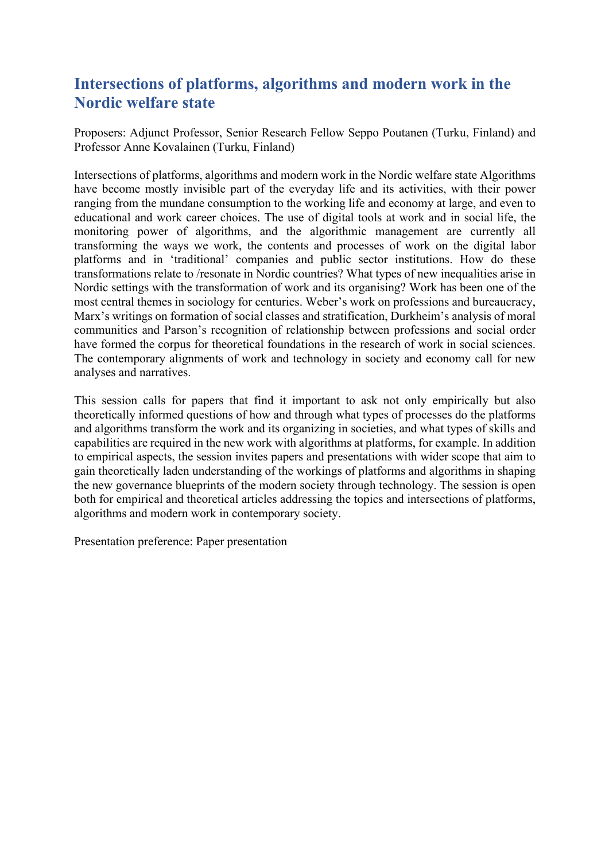#### **Intersections of platforms, algorithms and modern work in the Nordic welfare state**

Proposers: Adjunct Professor, Senior Research Fellow Seppo Poutanen (Turku, Finland) and Professor Anne Kovalainen (Turku, Finland)

Intersections of platforms, algorithms and modern work in the Nordic welfare state Algorithms have become mostly invisible part of the everyday life and its activities, with their power ranging from the mundane consumption to the working life and economy at large, and even to educational and work career choices. The use of digital tools at work and in social life, the monitoring power of algorithms, and the algorithmic management are currently all transforming the ways we work, the contents and processes of work on the digital labor platforms and in 'traditional' companies and public sector institutions. How do these transformations relate to /resonate in Nordic countries? What types of new inequalities arise in Nordic settings with the transformation of work and its organising? Work has been one of the most central themes in sociology for centuries. Weber's work on professions and bureaucracy, Marx's writings on formation of social classes and stratification, Durkheim's analysis of moral communities and Parson's recognition of relationship between professions and social order have formed the corpus for theoretical foundations in the research of work in social sciences. The contemporary alignments of work and technology in society and economy call for new analyses and narratives.

This session calls for papers that find it important to ask not only empirically but also theoretically informed questions of how and through what types of processes do the platforms and algorithms transform the work and its organizing in societies, and what types of skills and capabilities are required in the new work with algorithms at platforms, for example. In addition to empirical aspects, the session invites papers and presentations with wider scope that aim to gain theoretically laden understanding of the workings of platforms and algorithms in shaping the new governance blueprints of the modern society through technology. The session is open both for empirical and theoretical articles addressing the topics and intersections of platforms, algorithms and modern work in contemporary society.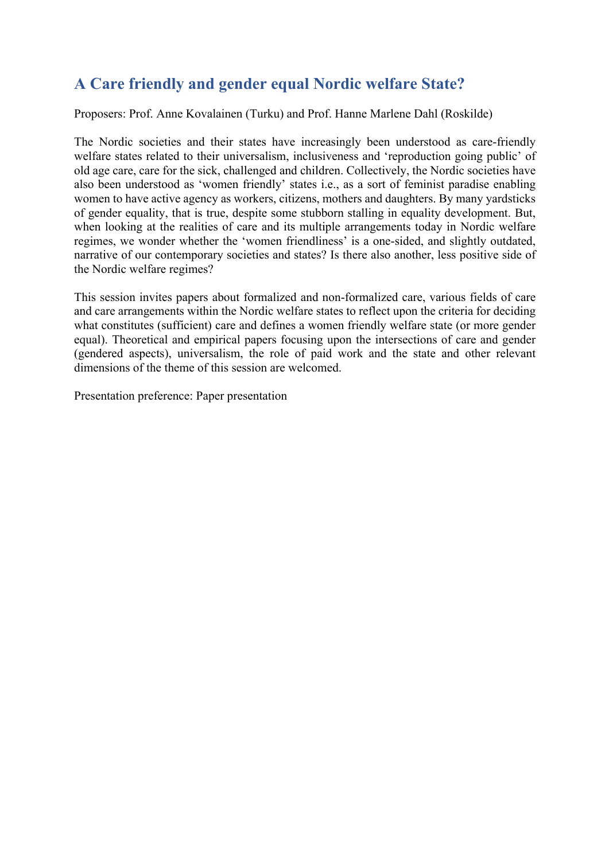# **A Care friendly and gender equal Nordic welfare State?**

Proposers: Prof. Anne Kovalainen (Turku) and Prof. Hanne Marlene Dahl (Roskilde)

The Nordic societies and their states have increasingly been understood as care-friendly welfare states related to their universalism, inclusiveness and 'reproduction going public' of old age care, care for the sick, challenged and children. Collectively, the Nordic societies have also been understood as 'women friendly' states i.e., as a sort of feminist paradise enabling women to have active agency as workers, citizens, mothers and daughters. By many yardsticks of gender equality, that is true, despite some stubborn stalling in equality development. But, when looking at the realities of care and its multiple arrangements today in Nordic welfare regimes, we wonder whether the 'women friendliness' is a one-sided, and slightly outdated, narrative of our contemporary societies and states? Is there also another, less positive side of the Nordic welfare regimes?

This session invites papers about formalized and non-formalized care, various fields of care and care arrangements within the Nordic welfare states to reflect upon the criteria for deciding what constitutes (sufficient) care and defines a women friendly welfare state (or more gender equal). Theoretical and empirical papers focusing upon the intersections of care and gender (gendered aspects), universalism, the role of paid work and the state and other relevant dimensions of the theme of this session are welcomed.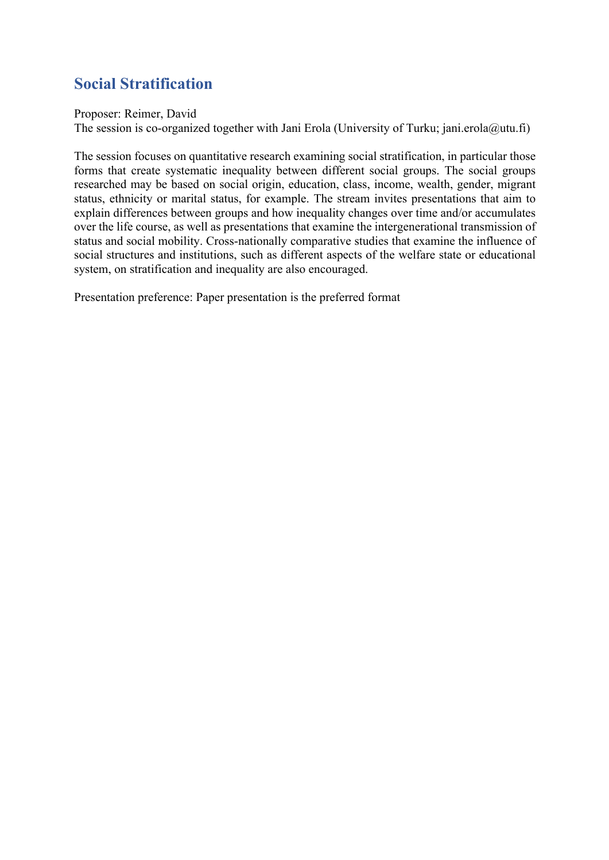# **Social Stratification**

Proposer: Reimer, David

The session is co-organized together with Jani Erola (University of Turku; jani.erola@utu.fi)

The session focuses on quantitative research examining social stratification, in particular those forms that create systematic inequality between different social groups. The social groups researched may be based on social origin, education, class, income, wealth, gender, migrant status, ethnicity or marital status, for example. The stream invites presentations that aim to explain differences between groups and how inequality changes over time and/or accumulates over the life course, as well as presentations that examine the intergenerational transmission of status and social mobility. Cross-nationally comparative studies that examine the influence of social structures and institutions, such as different aspects of the welfare state or educational system, on stratification and inequality are also encouraged.

Presentation preference: Paper presentation is the preferred format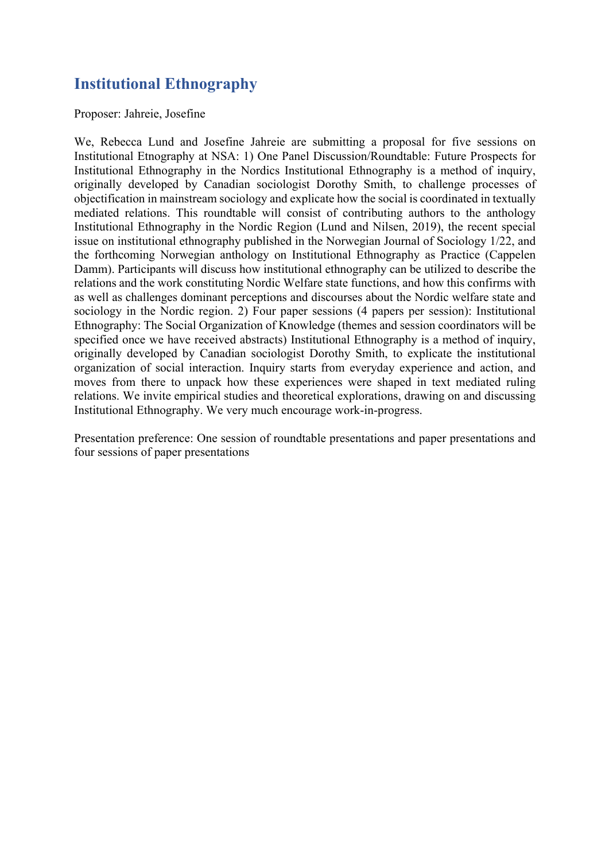## **Institutional Ethnography**

Proposer: Jahreie, Josefine

We, Rebecca Lund and Josefine Jahreie are submitting a proposal for five sessions on Institutional Etnography at NSA: 1) One Panel Discussion/Roundtable: Future Prospects for Institutional Ethnography in the Nordics Institutional Ethnography is a method of inquiry, originally developed by Canadian sociologist Dorothy Smith, to challenge processes of objectification in mainstream sociology and explicate how the social is coordinated in textually mediated relations. This roundtable will consist of contributing authors to the anthology Institutional Ethnography in the Nordic Region (Lund and Nilsen, 2019), the recent special issue on institutional ethnography published in the Norwegian Journal of Sociology 1/22, and the forthcoming Norwegian anthology on Institutional Ethnography as Practice (Cappelen Damm). Participants will discuss how institutional ethnography can be utilized to describe the relations and the work constituting Nordic Welfare state functions, and how this confirms with as well as challenges dominant perceptions and discourses about the Nordic welfare state and sociology in the Nordic region. 2) Four paper sessions (4 papers per session): Institutional Ethnography: The Social Organization of Knowledge (themes and session coordinators will be specified once we have received abstracts) Institutional Ethnography is a method of inquiry, originally developed by Canadian sociologist Dorothy Smith, to explicate the institutional organization of social interaction. Inquiry starts from everyday experience and action, and moves from there to unpack how these experiences were shaped in text mediated ruling relations. We invite empirical studies and theoretical explorations, drawing on and discussing Institutional Ethnography. We very much encourage work-in-progress.

Presentation preference: One session of roundtable presentations and paper presentations and four sessions of paper presentations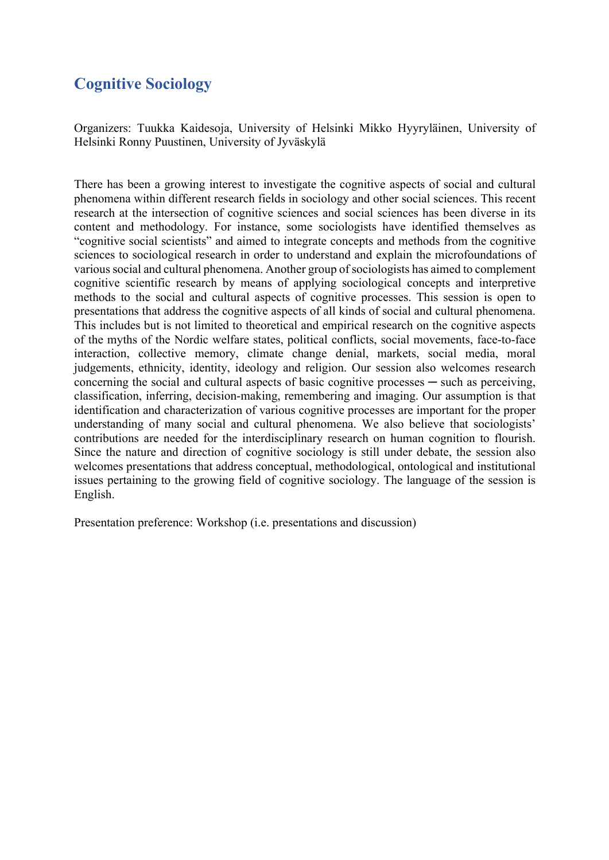#### **Cognitive Sociology**

Organizers: Tuukka Kaidesoja, University of Helsinki Mikko Hyyryläinen, University of Helsinki Ronny Puustinen, University of Jyväskylä

There has been a growing interest to investigate the cognitive aspects of social and cultural phenomena within different research fields in sociology and other social sciences. This recent research at the intersection of cognitive sciences and social sciences has been diverse in its content and methodology. For instance, some sociologists have identified themselves as "cognitive social scientists" and aimed to integrate concepts and methods from the cognitive sciences to sociological research in order to understand and explain the microfoundations of various social and cultural phenomena. Another group of sociologists has aimed to complement cognitive scientific research by means of applying sociological concepts and interpretive methods to the social and cultural aspects of cognitive processes. This session is open to presentations that address the cognitive aspects of all kinds of social and cultural phenomena. This includes but is not limited to theoretical and empirical research on the cognitive aspects of the myths of the Nordic welfare states, political conflicts, social movements, face-to-face interaction, collective memory, climate change denial, markets, social media, moral judgements, ethnicity, identity, ideology and religion. Our session also welcomes research concerning the social and cultural aspects of basic cognitive processes — such as perceiving, classification, inferring, decision-making, remembering and imaging. Our assumption is that identification and characterization of various cognitive processes are important for the proper understanding of many social and cultural phenomena. We also believe that sociologists' contributions are needed for the interdisciplinary research on human cognition to flourish. Since the nature and direction of cognitive sociology is still under debate, the session also welcomes presentations that address conceptual, methodological, ontological and institutional issues pertaining to the growing field of cognitive sociology. The language of the session is English.

Presentation preference: Workshop (i.e. presentations and discussion)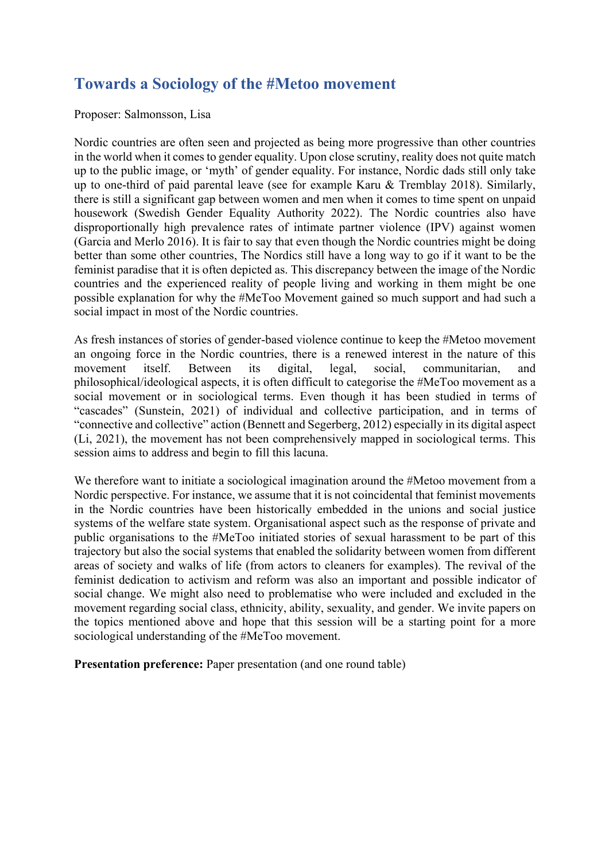#### **Towards a Sociology of the #Metoo movement**

#### Proposer: Salmonsson, Lisa

Nordic countries are often seen and projected as being more progressive than other countries in the world when it comes to gender equality. Upon close scrutiny, reality does not quite match up to the public image, or 'myth' of gender equality. For instance, Nordic dads still only take up to one-third of paid parental leave (see for example Karu & Tremblay 2018). Similarly, there is still a significant gap between women and men when it comes to time spent on unpaid housework (Swedish Gender Equality Authority 2022). The Nordic countries also have disproportionally high prevalence rates of intimate partner violence (IPV) against women (Garcia and Merlo 2016). It is fair to say that even though the Nordic countries might be doing better than some other countries, The Nordics still have a long way to go if it want to be the feminist paradise that it is often depicted as. This discrepancy between the image of the Nordic countries and the experienced reality of people living and working in them might be one possible explanation for why the #MeToo Movement gained so much support and had such a social impact in most of the Nordic countries.

As fresh instances of stories of gender-based violence continue to keep the #Metoo movement an ongoing force in the Nordic countries, there is a renewed interest in the nature of this movement itself. Between its digital, legal, social, communitarian, and philosophical/ideological aspects, it is often difficult to categorise the #MeToo movement as a social movement or in sociological terms. Even though it has been studied in terms of "cascades" (Sunstein, 2021) of individual and collective participation, and in terms of "connective and collective" action (Bennett and Segerberg, 2012) especially in its digital aspect (Li, 2021), the movement has not been comprehensively mapped in sociological terms. This session aims to address and begin to fill this lacuna.

We therefore want to initiate a sociological imagination around the #Metoo movement from a Nordic perspective. For instance, we assume that it is not coincidental that feminist movements in the Nordic countries have been historically embedded in the unions and social justice systems of the welfare state system. Organisational aspect such as the response of private and public organisations to the #MeToo initiated stories of sexual harassment to be part of this trajectory but also the social systems that enabled the solidarity between women from different areas of society and walks of life (from actors to cleaners for examples). The revival of the feminist dedication to activism and reform was also an important and possible indicator of social change. We might also need to problematise who were included and excluded in the movement regarding social class, ethnicity, ability, sexuality, and gender. We invite papers on the topics mentioned above and hope that this session will be a starting point for a more sociological understanding of the #MeToo movement.

**Presentation preference:** Paper presentation (and one round table)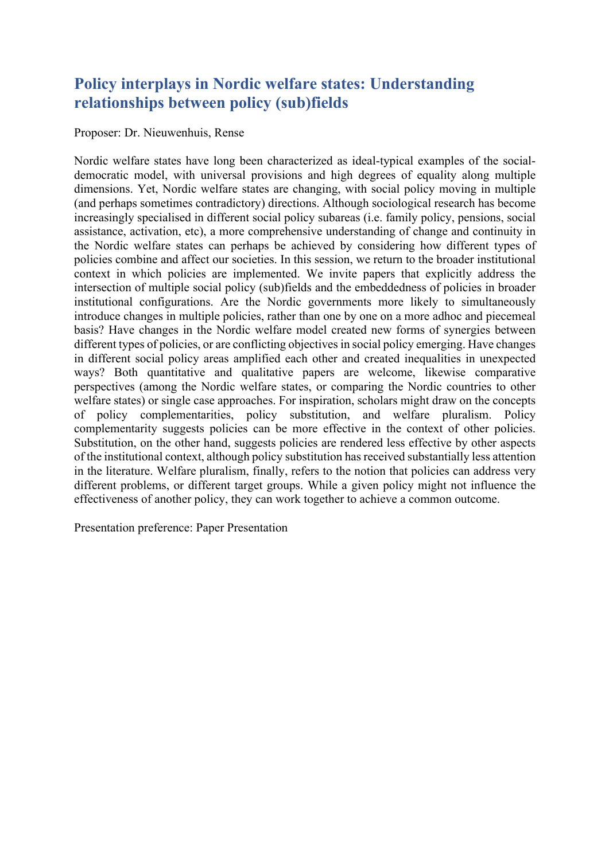# **Policy interplays in Nordic welfare states: Understanding relationships between policy (sub)fields**

Proposer: Dr. Nieuwenhuis, Rense

Nordic welfare states have long been characterized as ideal-typical examples of the socialdemocratic model, with universal provisions and high degrees of equality along multiple dimensions. Yet, Nordic welfare states are changing, with social policy moving in multiple (and perhaps sometimes contradictory) directions. Although sociological research has become increasingly specialised in different social policy subareas (i.e. family policy, pensions, social assistance, activation, etc), a more comprehensive understanding of change and continuity in the Nordic welfare states can perhaps be achieved by considering how different types of policies combine and affect our societies. In this session, we return to the broader institutional context in which policies are implemented. We invite papers that explicitly address the intersection of multiple social policy (sub)fields and the embeddedness of policies in broader institutional configurations. Are the Nordic governments more likely to simultaneously introduce changes in multiple policies, rather than one by one on a more adhoc and piecemeal basis? Have changes in the Nordic welfare model created new forms of synergies between different types of policies, or are conflicting objectives in social policy emerging. Have changes in different social policy areas amplified each other and created inequalities in unexpected ways? Both quantitative and qualitative papers are welcome, likewise comparative perspectives (among the Nordic welfare states, or comparing the Nordic countries to other welfare states) or single case approaches. For inspiration, scholars might draw on the concepts of policy complementarities, policy substitution, and welfare pluralism. Policy complementarity suggests policies can be more effective in the context of other policies. Substitution, on the other hand, suggests policies are rendered less effective by other aspects of the institutional context, although policy substitution has received substantially less attention in the literature. Welfare pluralism, finally, refers to the notion that policies can address very different problems, or different target groups. While a given policy might not influence the effectiveness of another policy, they can work together to achieve a common outcome.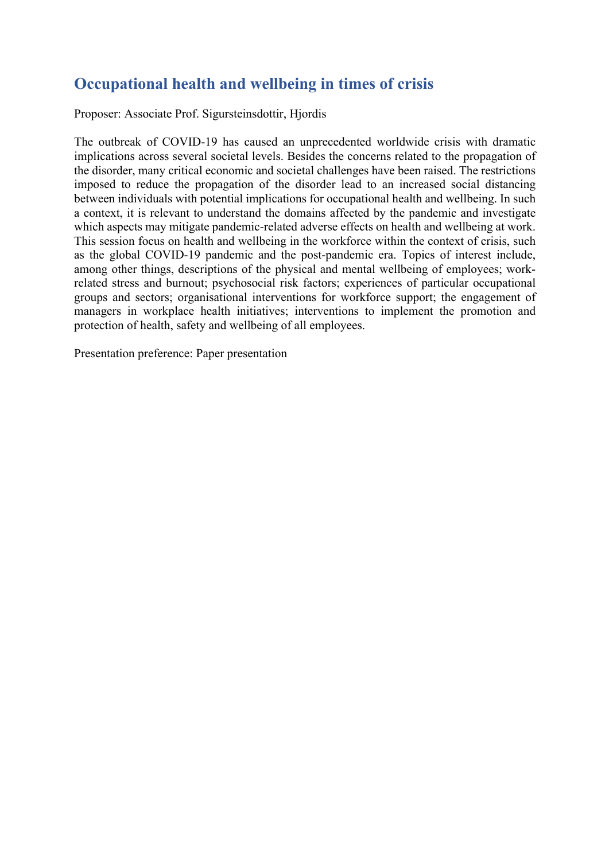# **Occupational health and wellbeing in times of crisis**

Proposer: Associate Prof. Sigursteinsdottir, Hjordis

The outbreak of COVID-19 has caused an unprecedented worldwide crisis with dramatic implications across several societal levels. Besides the concerns related to the propagation of the disorder, many critical economic and societal challenges have been raised. The restrictions imposed to reduce the propagation of the disorder lead to an increased social distancing between individuals with potential implications for occupational health and wellbeing. In such a context, it is relevant to understand the domains affected by the pandemic and investigate which aspects may mitigate pandemic-related adverse effects on health and wellbeing at work. This session focus on health and wellbeing in the workforce within the context of crisis, such as the global COVID-19 pandemic and the post-pandemic era. Topics of interest include, among other things, descriptions of the physical and mental wellbeing of employees; workrelated stress and burnout; psychosocial risk factors; experiences of particular occupational groups and sectors; organisational interventions for workforce support; the engagement of managers in workplace health initiatives; interventions to implement the promotion and protection of health, safety and wellbeing of all employees.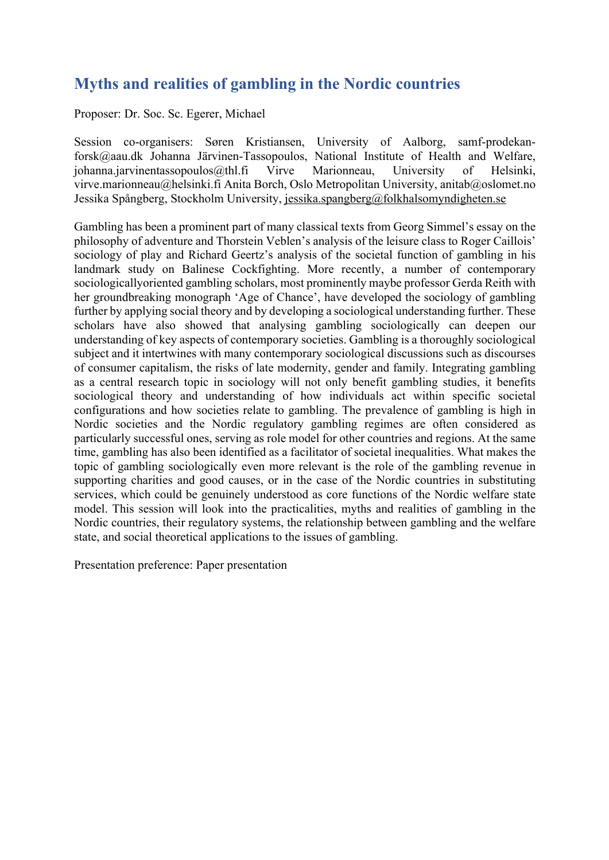#### **Myths and realities of gambling in the Nordic countries**

Proposer: Dr. Soc. Sc. Egerer, Michael

Session co-organisers: Søren Kristiansen, University of Aalborg, samf-prodekanforsk@aau.dk Johanna Järvinen-Tassopoulos, National Institute of Health and Welfare, johanna.jarvinentassopoulos@thl.fi Virve Marionneau, University of Helsinki, virve.marionneau@helsinki.fi Anita Borch, Oslo Metropolitan University, anitab@oslomet.no Jessika Spångberg, Stockholm University, jessika.spangberg@folkhalsomyndigheten.se

Gambling has been a prominent part of many classical texts from Georg Simmel's essay on the philosophy of adventure and Thorstein Veblen's analysis of the leisure class to Roger Caillois' sociology of play and Richard Geertz's analysis of the societal function of gambling in his landmark study on Balinese Cockfighting. More recently, a number of contemporary sociologicallyoriented gambling scholars, most prominently maybe professor Gerda Reith with her groundbreaking monograph 'Age of Chance', have developed the sociology of gambling further by applying social theory and by developing a sociological understanding further. These scholars have also showed that analysing gambling sociologically can deepen our understanding of key aspects of contemporary societies. Gambling is a thoroughly sociological subject and it intertwines with many contemporary sociological discussions such as discourses of consumer capitalism, the risks of late modernity, gender and family. Integrating gambling as a central research topic in sociology will not only benefit gambling studies, it benefits sociological theory and understanding of how individuals act within specific societal configurations and how societies relate to gambling. The prevalence of gambling is high in Nordic societies and the Nordic regulatory gambling regimes are often considered as particularly successful ones, serving as role model for other countries and regions. At the same time, gambling has also been identified as a facilitator of societal inequalities. What makes the topic of gambling sociologically even more relevant is the role of the gambling revenue in supporting charities and good causes, or in the case of the Nordic countries in substituting services, which could be genuinely understood as core functions of the Nordic welfare state model. This session will look into the practicalities, myths and realities of gambling in the Nordic countries, their regulatory systems, the relationship between gambling and the welfare state, and social theoretical applications to the issues of gambling.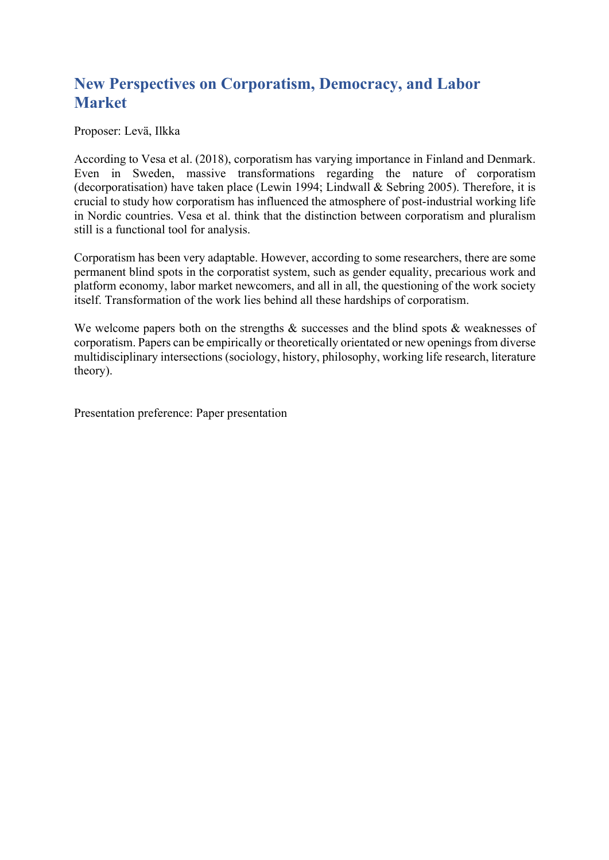# **New Perspectives on Corporatism, Democracy, and Labor Market**

Proposer: Levä, Ilkka

According to Vesa et al. (2018), corporatism has varying importance in Finland and Denmark. Even in Sweden, massive transformations regarding the nature of corporatism (decorporatisation) have taken place (Lewin 1994; Lindwall & Sebring 2005). Therefore, it is crucial to study how corporatism has influenced the atmosphere of post-industrial working life in Nordic countries. Vesa et al. think that the distinction between corporatism and pluralism still is a functional tool for analysis.

Corporatism has been very adaptable. However, according to some researchers, there are some permanent blind spots in the corporatist system, such as gender equality, precarious work and platform economy, labor market newcomers, and all in all, the questioning of the work society itself. Transformation of the work lies behind all these hardships of corporatism.

We welcome papers both on the strengths & successes and the blind spots & weaknesses of corporatism. Papers can be empirically or theoretically orientated or new openings from diverse multidisciplinary intersections (sociology, history, philosophy, working life research, literature theory).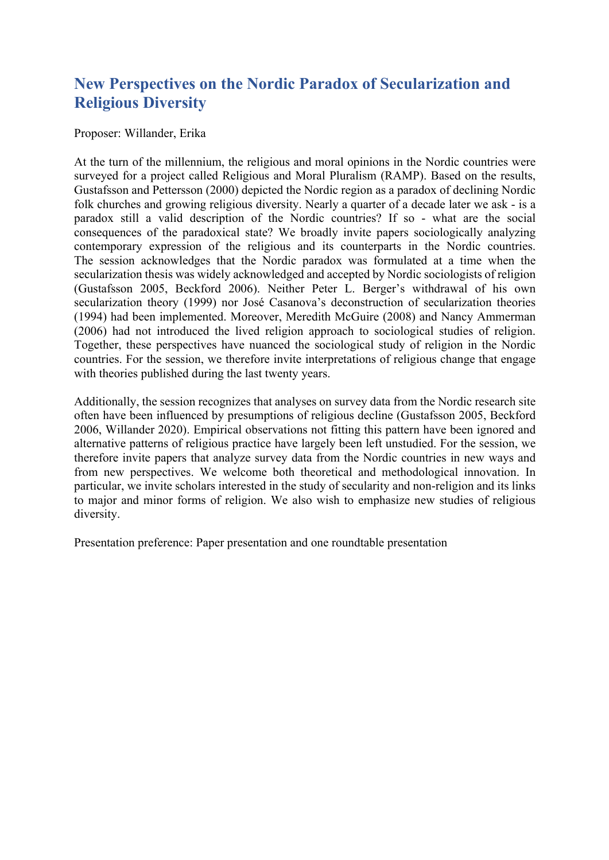## **New Perspectives on the Nordic Paradox of Secularization and Religious Diversity**

#### Proposer: Willander, Erika

At the turn of the millennium, the religious and moral opinions in the Nordic countries were surveyed for a project called Religious and Moral Pluralism (RAMP). Based on the results, Gustafsson and Pettersson (2000) depicted the Nordic region as a paradox of declining Nordic folk churches and growing religious diversity. Nearly a quarter of a decade later we ask - is a paradox still a valid description of the Nordic countries? If so - what are the social consequences of the paradoxical state? We broadly invite papers sociologically analyzing contemporary expression of the religious and its counterparts in the Nordic countries. The session acknowledges that the Nordic paradox was formulated at a time when the secularization thesis was widely acknowledged and accepted by Nordic sociologists of religion (Gustafsson 2005, Beckford 2006). Neither Peter L. Berger's withdrawal of his own secularization theory (1999) nor José Casanova's deconstruction of secularization theories (1994) had been implemented. Moreover, Meredith McGuire (2008) and Nancy Ammerman (2006) had not introduced the lived religion approach to sociological studies of religion. Together, these perspectives have nuanced the sociological study of religion in the Nordic countries. For the session, we therefore invite interpretations of religious change that engage with theories published during the last twenty years.

Additionally, the session recognizes that analyses on survey data from the Nordic research site often have been influenced by presumptions of religious decline (Gustafsson 2005, Beckford 2006, Willander 2020). Empirical observations not fitting this pattern have been ignored and alternative patterns of religious practice have largely been left unstudied. For the session, we therefore invite papers that analyze survey data from the Nordic countries in new ways and from new perspectives. We welcome both theoretical and methodological innovation. In particular, we invite scholars interested in the study of secularity and non-religion and its links to major and minor forms of religion. We also wish to emphasize new studies of religious diversity.

Presentation preference: Paper presentation and one roundtable presentation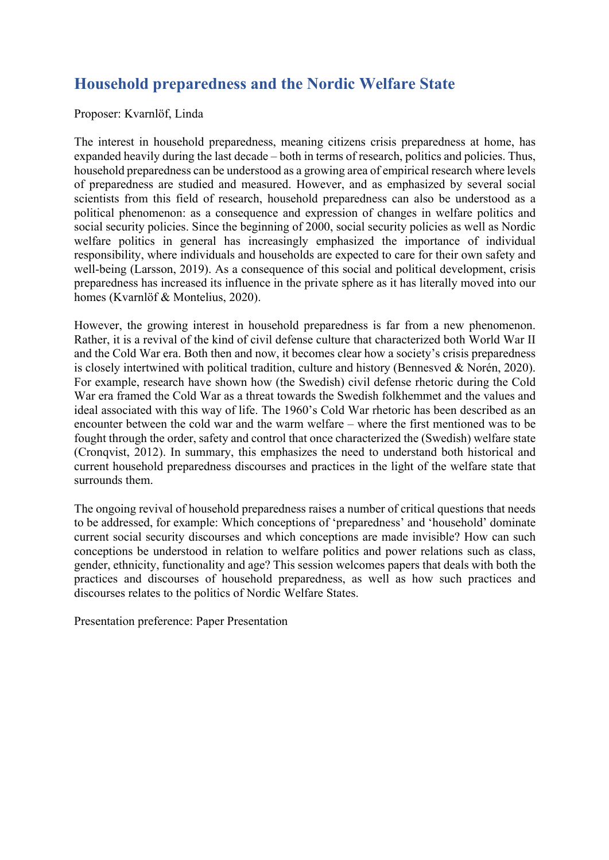# **Household preparedness and the Nordic Welfare State**

#### Proposer: Kvarnlöf, Linda

The interest in household preparedness, meaning citizens crisis preparedness at home, has expanded heavily during the last decade – both in terms of research, politics and policies. Thus, household preparedness can be understood as a growing area of empirical research where levels of preparedness are studied and measured. However, and as emphasized by several social scientists from this field of research, household preparedness can also be understood as a political phenomenon: as a consequence and expression of changes in welfare politics and social security policies. Since the beginning of 2000, social security policies as well as Nordic welfare politics in general has increasingly emphasized the importance of individual responsibility, where individuals and households are expected to care for their own safety and well-being (Larsson, 2019). As a consequence of this social and political development, crisis preparedness has increased its influence in the private sphere as it has literally moved into our homes (Kvarnlöf & Montelius, 2020).

However, the growing interest in household preparedness is far from a new phenomenon. Rather, it is a revival of the kind of civil defense culture that characterized both World War II and the Cold War era. Both then and now, it becomes clear how a society's crisis preparedness is closely intertwined with political tradition, culture and history (Bennesved & Norén, 2020). For example, research have shown how (the Swedish) civil defense rhetoric during the Cold War era framed the Cold War as a threat towards the Swedish folkhemmet and the values and ideal associated with this way of life. The 1960's Cold War rhetoric has been described as an encounter between the cold war and the warm welfare – where the first mentioned was to be fought through the order, safety and control that once characterized the (Swedish) welfare state (Cronqvist, 2012). In summary, this emphasizes the need to understand both historical and current household preparedness discourses and practices in the light of the welfare state that surrounds them.

The ongoing revival of household preparedness raises a number of critical questions that needs to be addressed, for example: Which conceptions of 'preparedness' and 'household' dominate current social security discourses and which conceptions are made invisible? How can such conceptions be understood in relation to welfare politics and power relations such as class, gender, ethnicity, functionality and age? This session welcomes papers that deals with both the practices and discourses of household preparedness, as well as how such practices and discourses relates to the politics of Nordic Welfare States.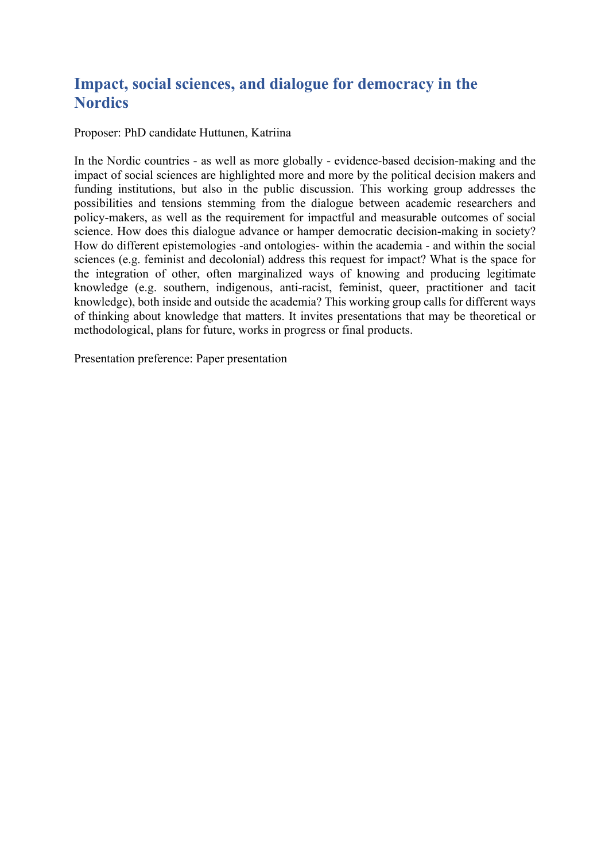#### **Impact, social sciences, and dialogue for democracy in the Nordics**

Proposer: PhD candidate Huttunen, Katriina

In the Nordic countries - as well as more globally - evidence-based decision-making and the impact of social sciences are highlighted more and more by the political decision makers and funding institutions, but also in the public discussion. This working group addresses the possibilities and tensions stemming from the dialogue between academic researchers and policy-makers, as well as the requirement for impactful and measurable outcomes of social science. How does this dialogue advance or hamper democratic decision-making in society? How do different epistemologies -and ontologies- within the academia - and within the social sciences (e.g. feminist and decolonial) address this request for impact? What is the space for the integration of other, often marginalized ways of knowing and producing legitimate knowledge (e.g. southern, indigenous, anti-racist, feminist, queer, practitioner and tacit knowledge), both inside and outside the academia? This working group calls for different ways of thinking about knowledge that matters. It invites presentations that may be theoretical or methodological, plans for future, works in progress or final products.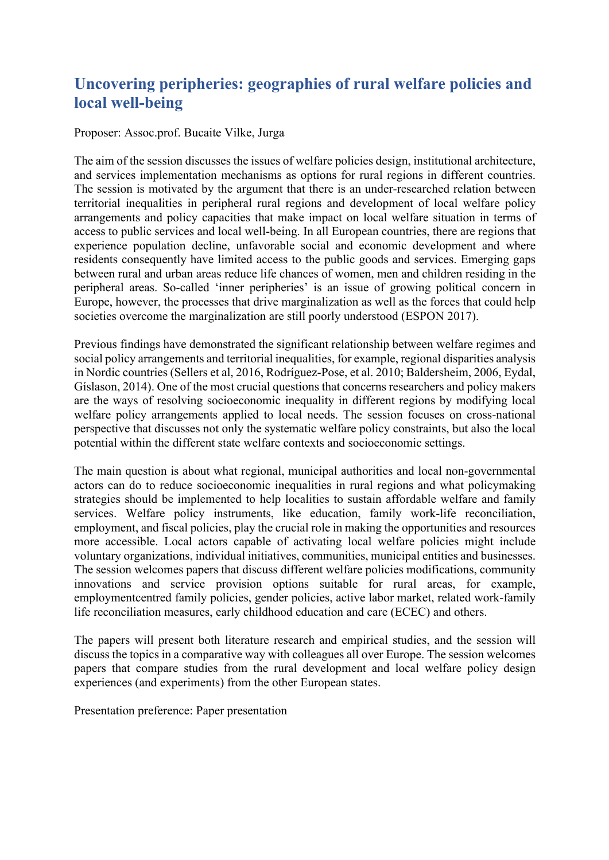# **Uncovering peripheries: geographies of rural welfare policies and local well-being**

Proposer: Assoc.prof. Bucaite Vilke, Jurga

The aim of the session discusses the issues of welfare policies design, institutional architecture, and services implementation mechanisms as options for rural regions in different countries. The session is motivated by the argument that there is an under-researched relation between territorial inequalities in peripheral rural regions and development of local welfare policy arrangements and policy capacities that make impact on local welfare situation in terms of access to public services and local well-being. In all European countries, there are regions that experience population decline, unfavorable social and economic development and where residents consequently have limited access to the public goods and services. Emerging gaps between rural and urban areas reduce life chances of women, men and children residing in the peripheral areas. So-called 'inner peripheries' is an issue of growing political concern in Europe, however, the processes that drive marginalization as well as the forces that could help societies overcome the marginalization are still poorly understood (ESPON 2017).

Previous findings have demonstrated the significant relationship between welfare regimes and social policy arrangements and territorial inequalities, for example, regional disparities analysis in Nordic countries (Sellers et al, 2016, Rodríguez-Pose, et al. 2010; Baldersheim, 2006, Eydal, Gíslason, 2014). One of the most crucial questions that concerns researchers and policy makers are the ways of resolving socioeconomic inequality in different regions by modifying local welfare policy arrangements applied to local needs. The session focuses on cross-national perspective that discusses not only the systematic welfare policy constraints, but also the local potential within the different state welfare contexts and socioeconomic settings.

The main question is about what regional, municipal authorities and local non-governmental actors can do to reduce socioeconomic inequalities in rural regions and what policymaking strategies should be implemented to help localities to sustain affordable welfare and family services. Welfare policy instruments, like education, family work-life reconciliation, employment, and fiscal policies, play the crucial role in making the opportunities and resources more accessible. Local actors capable of activating local welfare policies might include voluntary organizations, individual initiatives, communities, municipal entities and businesses. The session welcomes papers that discuss different welfare policies modifications, community innovations and service provision options suitable for rural areas, for example, employmentcentred family policies, gender policies, active labor market, related work-family life reconciliation measures, early childhood education and care (ECEC) and others.

The papers will present both literature research and empirical studies, and the session will discuss the topics in a comparative way with colleagues all over Europe. The session welcomes papers that compare studies from the rural development and local welfare policy design experiences (and experiments) from the other European states.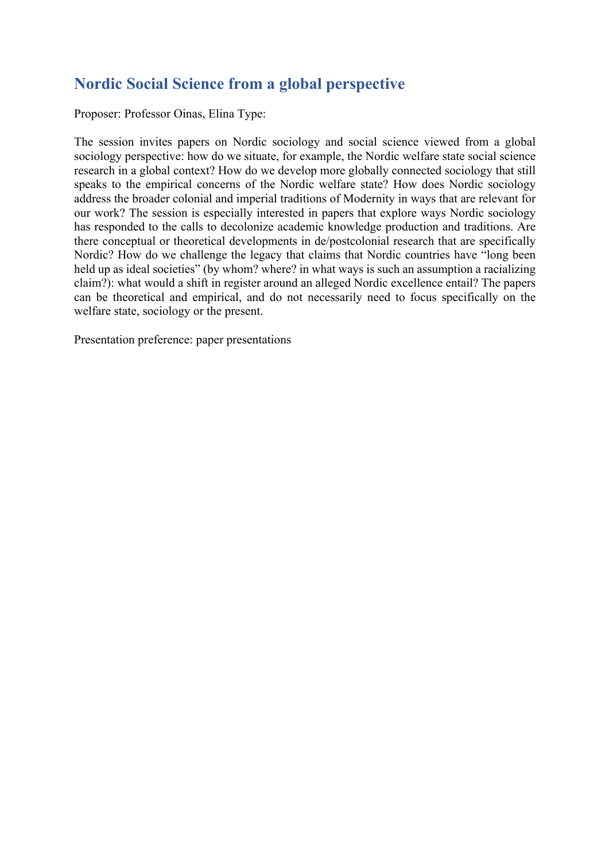#### **Nordic Social Science from a global perspective**

Proposer: Professor Oinas, Elina Type:

The session invites papers on Nordic sociology and social science viewed from a global sociology perspective: how do we situate, for example, the Nordic welfare state social science research in a global context? How do we develop more globally connected sociology that still speaks to the empirical concerns of the Nordic welfare state? How does Nordic sociology address the broader colonial and imperial traditions of Modernity in ways that are relevant for our work? The session is especially interested in papers that explore ways Nordic sociology has responded to the calls to decolonize academic knowledge production and traditions. Are there conceptual or theoretical developments in de/postcolonial research that are specifically Nordic? How do we challenge the legacy that claims that Nordic countries have "long been held up as ideal societies" (by whom? where? in what ways is such an assumption a racializing claim?): what would a shift in register around an alleged Nordic excellence entail? The papers can be theoretical and empirical, and do not necessarily need to focus specifically on the welfare state, sociology or the present.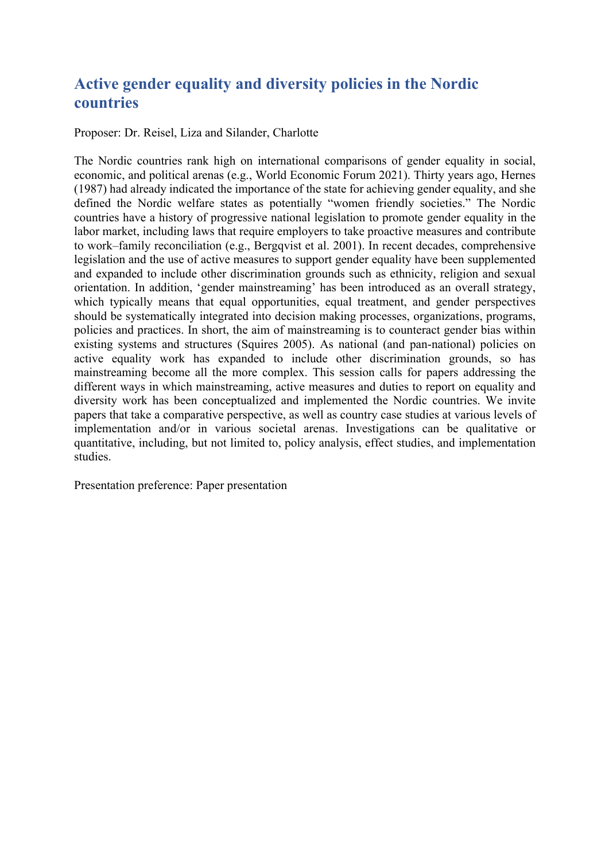# **Active gender equality and diversity policies in the Nordic countries**

Proposer: Dr. Reisel, Liza and Silander, Charlotte

The Nordic countries rank high on international comparisons of gender equality in social, economic, and political arenas (e.g., World Economic Forum 2021). Thirty years ago, Hernes (1987) had already indicated the importance of the state for achieving gender equality, and she defined the Nordic welfare states as potentially "women friendly societies." The Nordic countries have a history of progressive national legislation to promote gender equality in the labor market, including laws that require employers to take proactive measures and contribute to work–family reconciliation (e.g., Bergqvist et al. 2001). In recent decades, comprehensive legislation and the use of active measures to support gender equality have been supplemented and expanded to include other discrimination grounds such as ethnicity, religion and sexual orientation. In addition, 'gender mainstreaming' has been introduced as an overall strategy, which typically means that equal opportunities, equal treatment, and gender perspectives should be systematically integrated into decision making processes, organizations, programs, policies and practices. In short, the aim of mainstreaming is to counteract gender bias within existing systems and structures (Squires 2005). As national (and pan-national) policies on active equality work has expanded to include other discrimination grounds, so has mainstreaming become all the more complex. This session calls for papers addressing the different ways in which mainstreaming, active measures and duties to report on equality and diversity work has been conceptualized and implemented the Nordic countries. We invite papers that take a comparative perspective, as well as country case studies at various levels of implementation and/or in various societal arenas. Investigations can be qualitative or quantitative, including, but not limited to, policy analysis, effect studies, and implementation studies.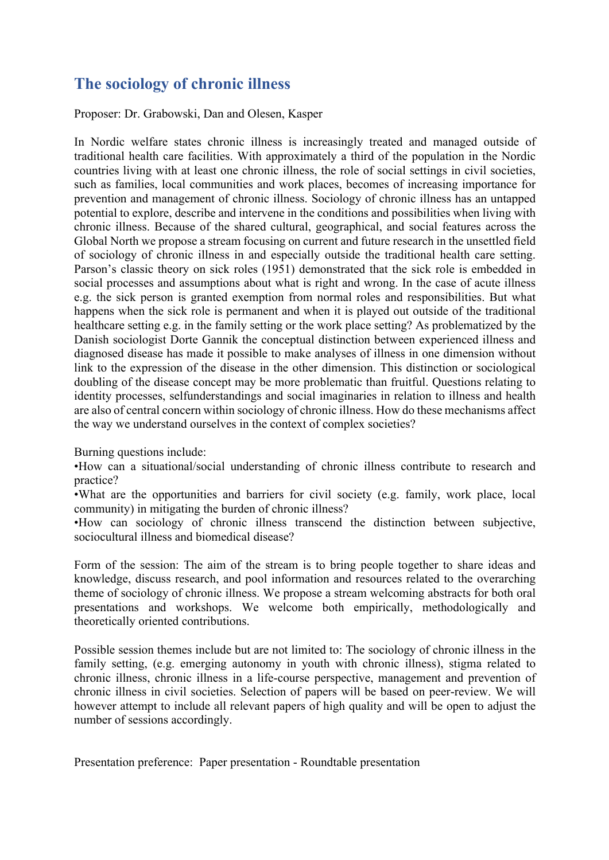#### **The sociology of chronic illness**

Proposer: Dr. Grabowski, Dan and Olesen, Kasper

In Nordic welfare states chronic illness is increasingly treated and managed outside of traditional health care facilities. With approximately a third of the population in the Nordic countries living with at least one chronic illness, the role of social settings in civil societies, such as families, local communities and work places, becomes of increasing importance for prevention and management of chronic illness. Sociology of chronic illness has an untapped potential to explore, describe and intervene in the conditions and possibilities when living with chronic illness. Because of the shared cultural, geographical, and social features across the Global North we propose a stream focusing on current and future research in the unsettled field of sociology of chronic illness in and especially outside the traditional health care setting. Parson's classic theory on sick roles (1951) demonstrated that the sick role is embedded in social processes and assumptions about what is right and wrong. In the case of acute illness e.g. the sick person is granted exemption from normal roles and responsibilities. But what happens when the sick role is permanent and when it is played out outside of the traditional healthcare setting e.g. in the family setting or the work place setting? As problematized by the Danish sociologist Dorte Gannik the conceptual distinction between experienced illness and diagnosed disease has made it possible to make analyses of illness in one dimension without link to the expression of the disease in the other dimension. This distinction or sociological doubling of the disease concept may be more problematic than fruitful. Questions relating to identity processes, selfunderstandings and social imaginaries in relation to illness and health are also of central concern within sociology of chronic illness. How do these mechanisms affect the way we understand ourselves in the context of complex societies?

Burning questions include:

•How can a situational/social understanding of chronic illness contribute to research and practice?

•What are the opportunities and barriers for civil society (e.g. family, work place, local community) in mitigating the burden of chronic illness?

•How can sociology of chronic illness transcend the distinction between subjective, sociocultural illness and biomedical disease?

Form of the session: The aim of the stream is to bring people together to share ideas and knowledge, discuss research, and pool information and resources related to the overarching theme of sociology of chronic illness. We propose a stream welcoming abstracts for both oral presentations and workshops. We welcome both empirically, methodologically and theoretically oriented contributions.

Possible session themes include but are not limited to: The sociology of chronic illness in the family setting, (e.g. emerging autonomy in youth with chronic illness), stigma related to chronic illness, chronic illness in a life-course perspective, management and prevention of chronic illness in civil societies. Selection of papers will be based on peer-review. We will however attempt to include all relevant papers of high quality and will be open to adjust the number of sessions accordingly.

Presentation preference: Paper presentation - Roundtable presentation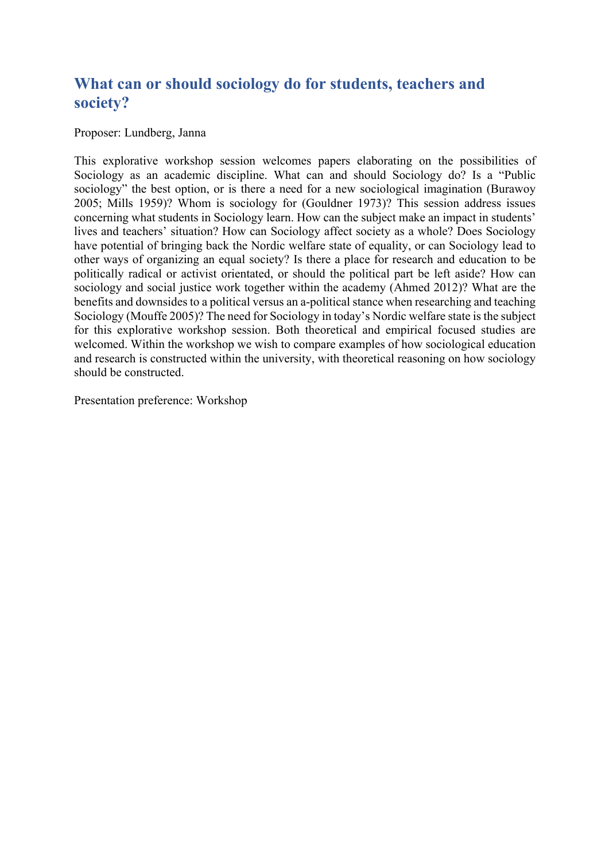#### **What can or should sociology do for students, teachers and society?**

Proposer: Lundberg, Janna

This explorative workshop session welcomes papers elaborating on the possibilities of Sociology as an academic discipline. What can and should Sociology do? Is a "Public sociology" the best option, or is there a need for a new sociological imagination (Burawoy 2005; Mills 1959)? Whom is sociology for (Gouldner 1973)? This session address issues concerning what students in Sociology learn. How can the subject make an impact in students' lives and teachers' situation? How can Sociology affect society as a whole? Does Sociology have potential of bringing back the Nordic welfare state of equality, or can Sociology lead to other ways of organizing an equal society? Is there a place for research and education to be politically radical or activist orientated, or should the political part be left aside? How can sociology and social justice work together within the academy (Ahmed 2012)? What are the benefits and downsides to a political versus an a-political stance when researching and teaching Sociology (Mouffe 2005)? The need for Sociology in today's Nordic welfare state is the subject for this explorative workshop session. Both theoretical and empirical focused studies are welcomed. Within the workshop we wish to compare examples of how sociological education and research is constructed within the university, with theoretical reasoning on how sociology should be constructed.

Presentation preference: Workshop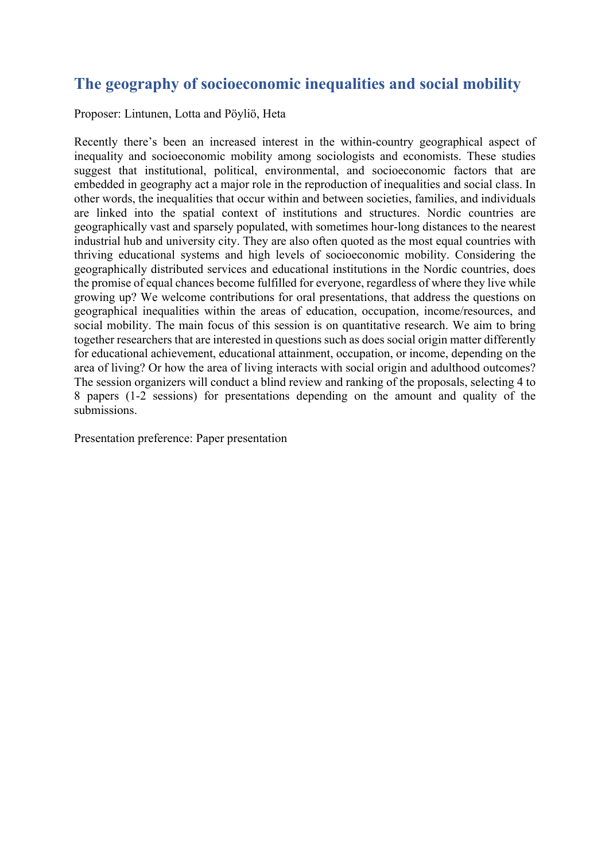#### **The geography of socioeconomic inequalities and social mobility**

Proposer: Lintunen, Lotta and Pöyliö, Heta

Recently there's been an increased interest in the within-country geographical aspect of inequality and socioeconomic mobility among sociologists and economists. These studies suggest that institutional, political, environmental, and socioeconomic factors that are embedded in geography act a major role in the reproduction of inequalities and social class. In other words, the inequalities that occur within and between societies, families, and individuals are linked into the spatial context of institutions and structures. Nordic countries are geographically vast and sparsely populated, with sometimes hour-long distances to the nearest industrial hub and university city. They are also often quoted as the most equal countries with thriving educational systems and high levels of socioeconomic mobility. Considering the geographically distributed services and educational institutions in the Nordic countries, does the promise of equal chances become fulfilled for everyone, regardless of where they live while growing up? We welcome contributions for oral presentations, that address the questions on geographical inequalities within the areas of education, occupation, income/resources, and social mobility. The main focus of this session is on quantitative research. We aim to bring together researchers that are interested in questions such as does social origin matter differently for educational achievement, educational attainment, occupation, or income, depending on the area of living? Or how the area of living interacts with social origin and adulthood outcomes? The session organizers will conduct a blind review and ranking of the proposals, selecting 4 to 8 papers (1-2 sessions) for presentations depending on the amount and quality of the submissions.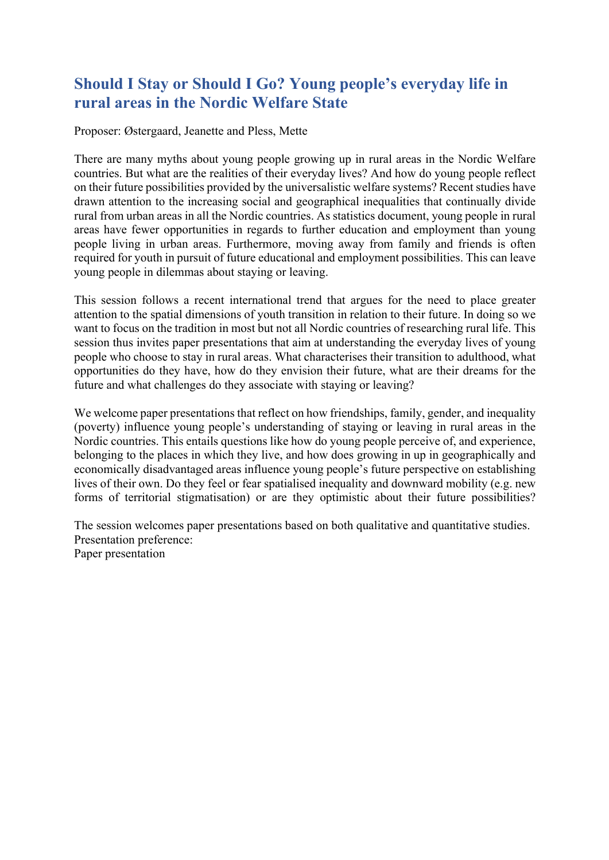# **Should I Stay or Should I Go? Young people's everyday life in rural areas in the Nordic Welfare State**

Proposer: Østergaard, Jeanette and Pless, Mette

There are many myths about young people growing up in rural areas in the Nordic Welfare countries. But what are the realities of their everyday lives? And how do young people reflect on their future possibilities provided by the universalistic welfare systems? Recent studies have drawn attention to the increasing social and geographical inequalities that continually divide rural from urban areas in all the Nordic countries. As statistics document, young people in rural areas have fewer opportunities in regards to further education and employment than young people living in urban areas. Furthermore, moving away from family and friends is often required for youth in pursuit of future educational and employment possibilities. This can leave young people in dilemmas about staying or leaving.

This session follows a recent international trend that argues for the need to place greater attention to the spatial dimensions of youth transition in relation to their future. In doing so we want to focus on the tradition in most but not all Nordic countries of researching rural life. This session thus invites paper presentations that aim at understanding the everyday lives of young people who choose to stay in rural areas. What characterises their transition to adulthood, what opportunities do they have, how do they envision their future, what are their dreams for the future and what challenges do they associate with staying or leaving?

We welcome paper presentations that reflect on how friendships, family, gender, and inequality (poverty) influence young people's understanding of staying or leaving in rural areas in the Nordic countries. This entails questions like how do young people perceive of, and experience, belonging to the places in which they live, and how does growing in up in geographically and economically disadvantaged areas influence young people's future perspective on establishing lives of their own. Do they feel or fear spatialised inequality and downward mobility (e.g. new forms of territorial stigmatisation) or are they optimistic about their future possibilities?

The session welcomes paper presentations based on both qualitative and quantitative studies. Presentation preference: Paper presentation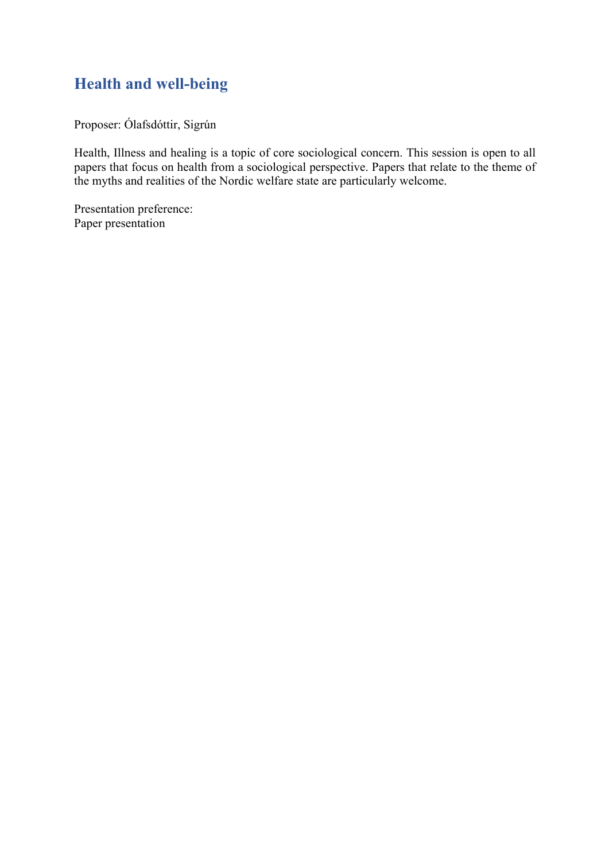# **Health and well-being**

Proposer: Ólafsdóttir, Sigrún

Health, Illness and healing is a topic of core sociological concern. This session is open to all papers that focus on health from a sociological perspective. Papers that relate to the theme of the myths and realities of the Nordic welfare state are particularly welcome.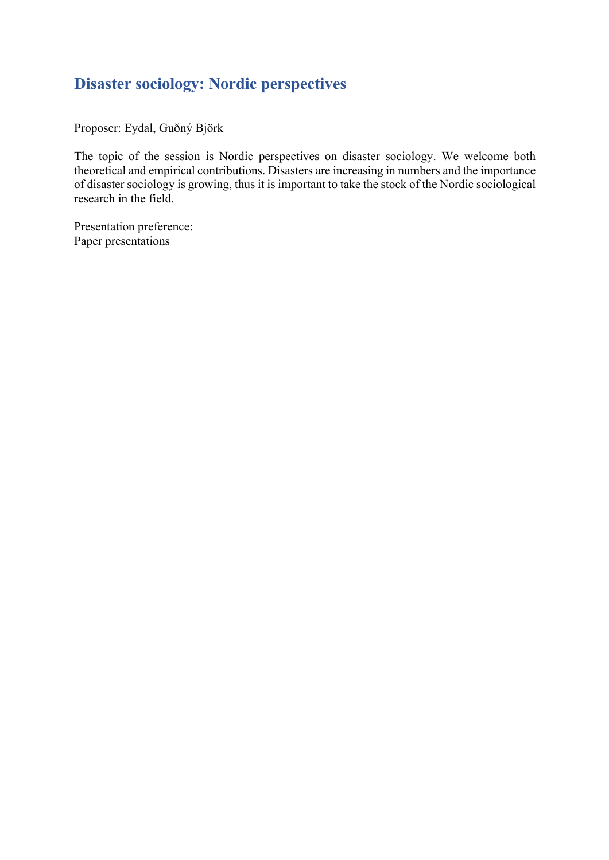# **Disaster sociology: Nordic perspectives**

Proposer: Eydal, Guðný Björk

The topic of the session is Nordic perspectives on disaster sociology. We welcome both theoretical and empirical contributions. Disasters are increasing in numbers and the importance of disaster sociology is growing, thus it is important to take the stock of the Nordic sociological research in the field.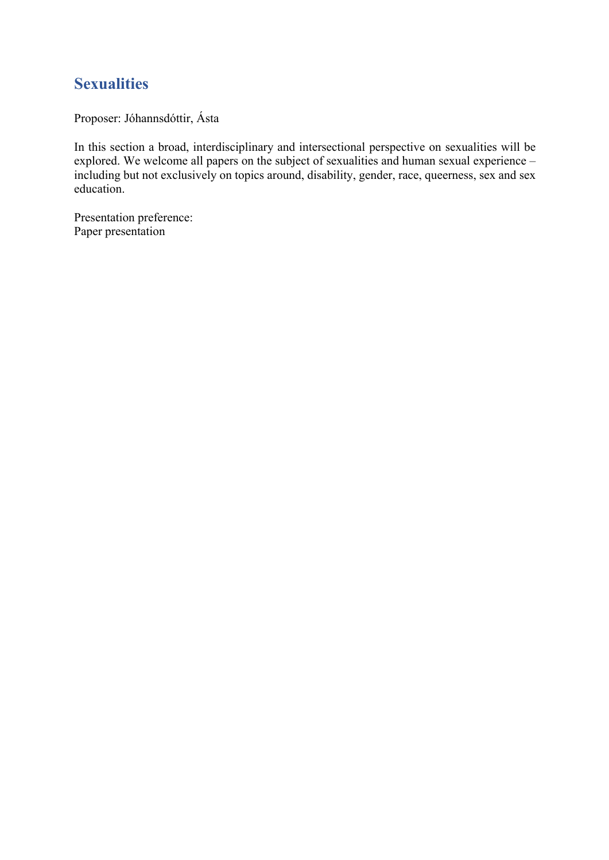#### **Sexualities**

Proposer: Jóhannsdóttir, Ásta

In this section a broad, interdisciplinary and intersectional perspective on sexualities will be explored. We welcome all papers on the subject of sexualities and human sexual experience – including but not exclusively on topics around, disability, gender, race, queerness, sex and sex education.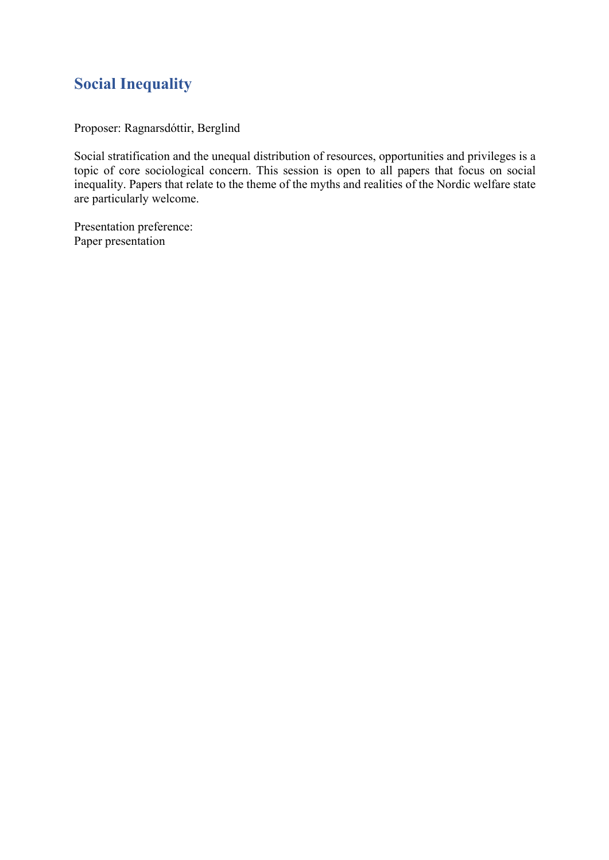# **Social Inequality**

Proposer: Ragnarsdóttir, Berglind

Social stratification and the unequal distribution of resources, opportunities and privileges is a topic of core sociological concern. This session is open to all papers that focus on social inequality. Papers that relate to the theme of the myths and realities of the Nordic welfare state are particularly welcome.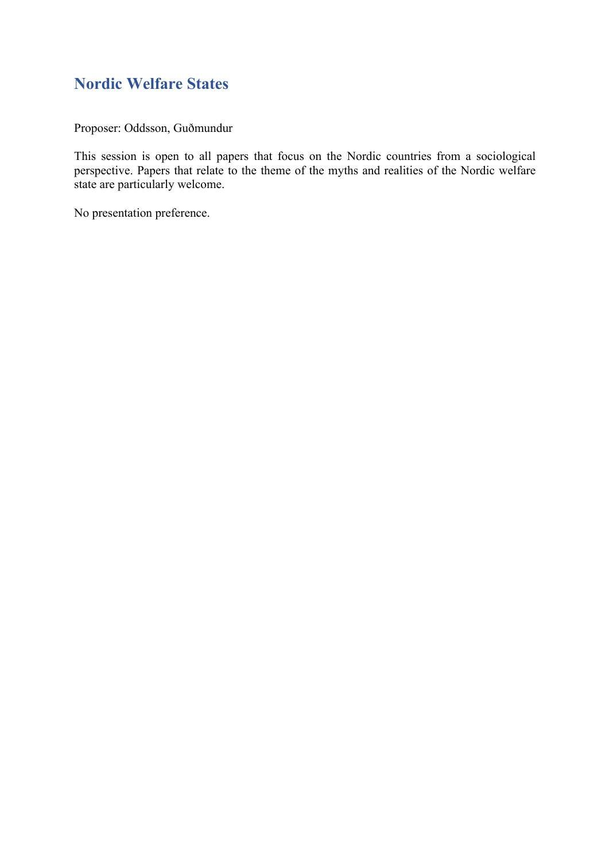# **Nordic Welfare States**

Proposer: Oddsson, Guðmundur

This session is open to all papers that focus on the Nordic countries from a sociological perspective. Papers that relate to the theme of the myths and realities of the Nordic welfare state are particularly welcome.

No presentation preference.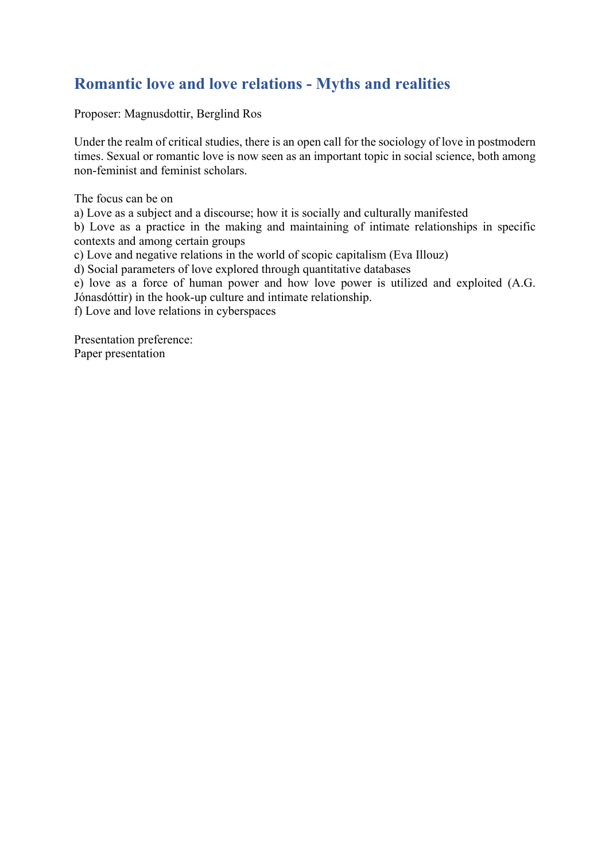# **Romantic love and love relations - Myths and realities**

Proposer: Magnusdottir, Berglind Ros

Under the realm of critical studies, there is an open call for the sociology of love in postmodern times. Sexual or romantic love is now seen as an important topic in social science, both among non-feminist and feminist scholars.

The focus can be on

a) Love as a subject and a discourse; how it is socially and culturally manifested

b) Love as a practice in the making and maintaining of intimate relationships in specific contexts and among certain groups

c) Love and negative relations in the world of scopic capitalism (Eva Illouz)

d) Social parameters of love explored through quantitative databases

e) love as a force of human power and how love power is utilized and exploited (A.G. Jónasdóttir) in the hook-up culture and intimate relationship.

f) Love and love relations in cyberspaces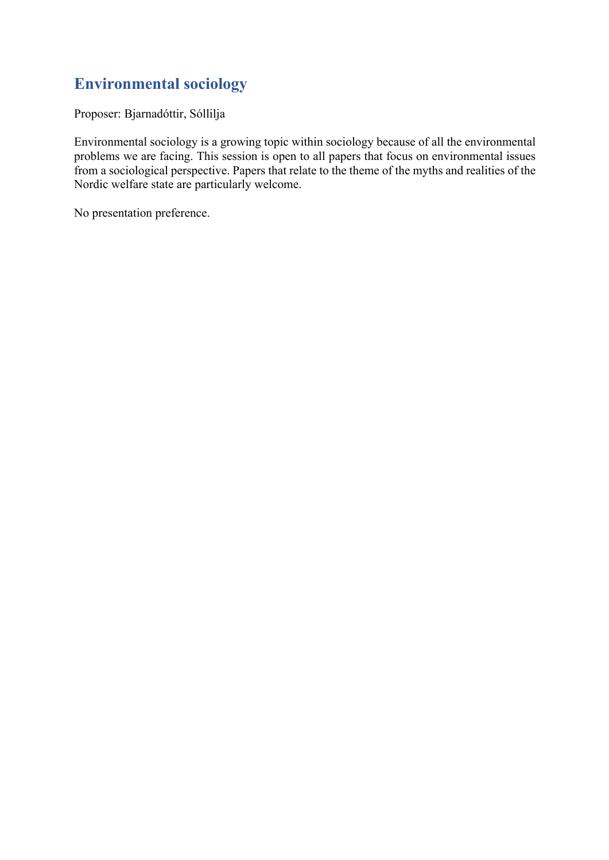# **Environmental sociology**

Proposer: Bjarnadóttir, Sóllilja

Environmental sociology is a growing topic within sociology because of all the environmental problems we are facing. This session is open to all papers that focus on environmental issues from a sociological perspective. Papers that relate to the theme of the myths and realities of the Nordic welfare state are particularly welcome.

No presentation preference.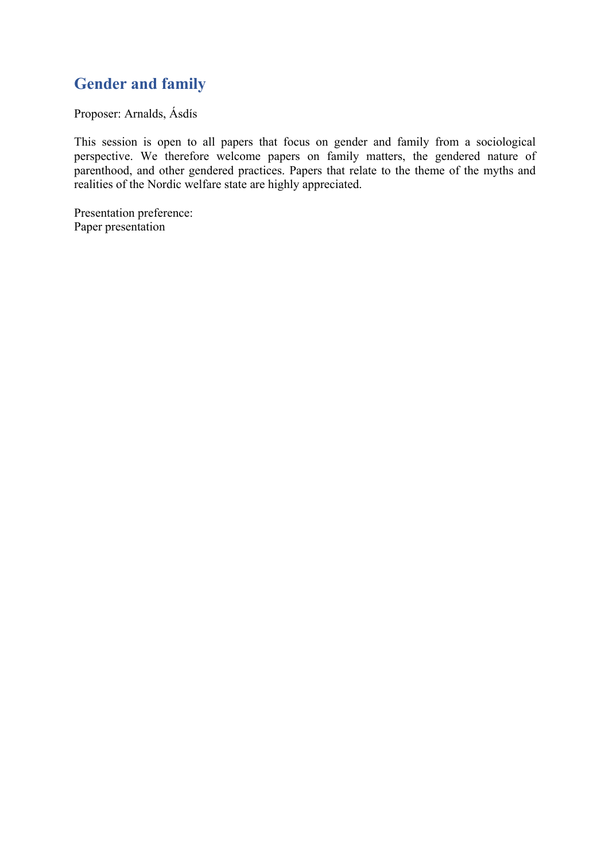# **Gender and family**

Proposer: Arnalds, Ásdís

This session is open to all papers that focus on gender and family from a sociological perspective. We therefore welcome papers on family matters, the gendered nature of parenthood, and other gendered practices. Papers that relate to the theme of the myths and realities of the Nordic welfare state are highly appreciated.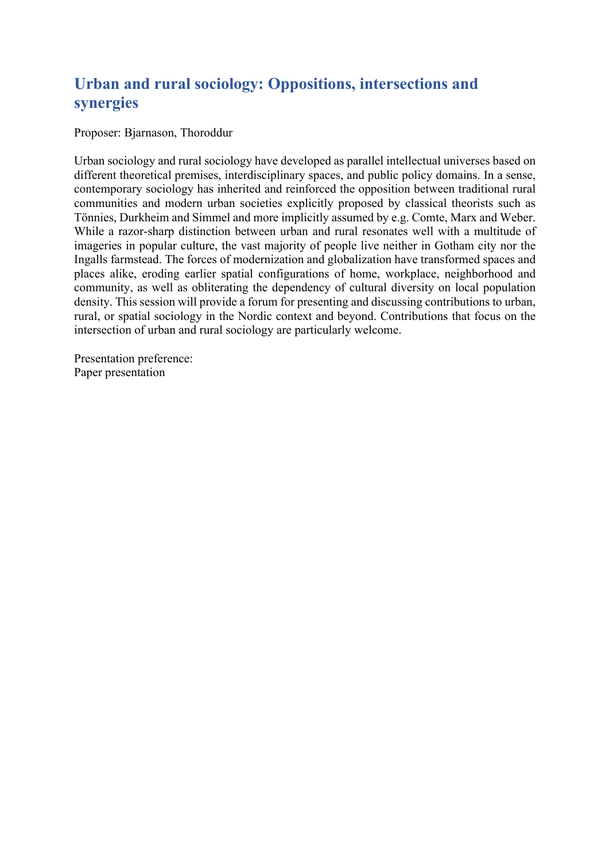# **Urban and rural sociology: Oppositions, intersections and synergies**

Proposer: Bjarnason, Thoroddur

Urban sociology and rural sociology have developed as parallel intellectual universes based on different theoretical premises, interdisciplinary spaces, and public policy domains. In a sense, contemporary sociology has inherited and reinforced the opposition between traditional rural communities and modern urban societies explicitly proposed by classical theorists such as Tönnies, Durkheim and Simmel and more implicitly assumed by e.g. Comte, Marx and Weber. While a razor-sharp distinction between urban and rural resonates well with a multitude of imageries in popular culture, the vast majority of people live neither in Gotham city nor the Ingalls farmstead. The forces of modernization and globalization have transformed spaces and places alike, eroding earlier spatial configurations of home, workplace, neighborhood and community, as well as obliterating the dependency of cultural diversity on local population density. This session will provide a forum for presenting and discussing contributions to urban, rural, or spatial sociology in the Nordic context and beyond. Contributions that focus on the intersection of urban and rural sociology are particularly welcome.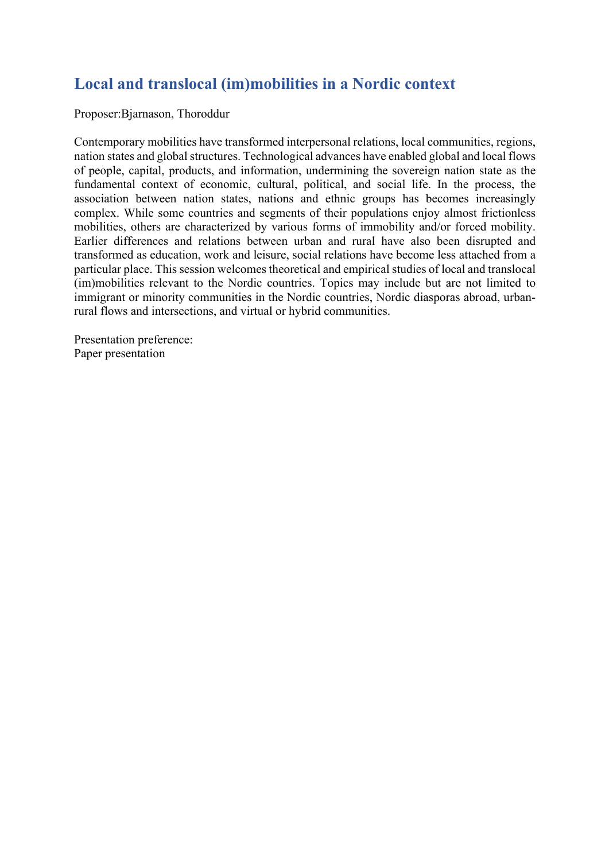# **Local and translocal (im)mobilities in a Nordic context**

Proposer:Bjarnason, Thoroddur

Contemporary mobilities have transformed interpersonal relations, local communities, regions, nation states and global structures. Technological advances have enabled global and local flows of people, capital, products, and information, undermining the sovereign nation state as the fundamental context of economic, cultural, political, and social life. In the process, the association between nation states, nations and ethnic groups has becomes increasingly complex. While some countries and segments of their populations enjoy almost frictionless mobilities, others are characterized by various forms of immobility and/or forced mobility. Earlier differences and relations between urban and rural have also been disrupted and transformed as education, work and leisure, social relations have become less attached from a particular place. This session welcomes theoretical and empirical studies of local and translocal (im)mobilities relevant to the Nordic countries. Topics may include but are not limited to immigrant or minority communities in the Nordic countries, Nordic diasporas abroad, urbanrural flows and intersections, and virtual or hybrid communities.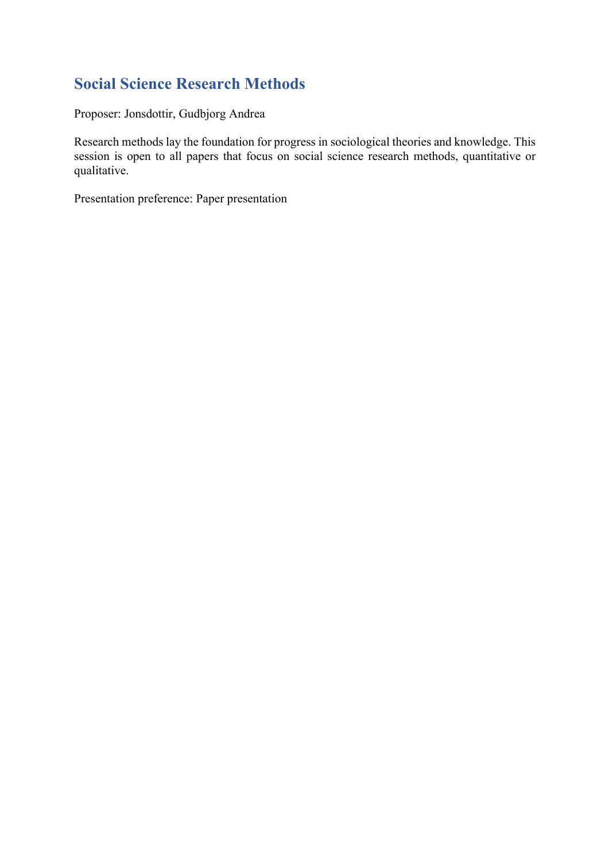# **Social Science Research Methods**

Proposer: Jonsdottir, Gudbjorg Andrea

Research methods lay the foundation for progress in sociological theories and knowledge. This session is open to all papers that focus on social science research methods, quantitative or qualitative.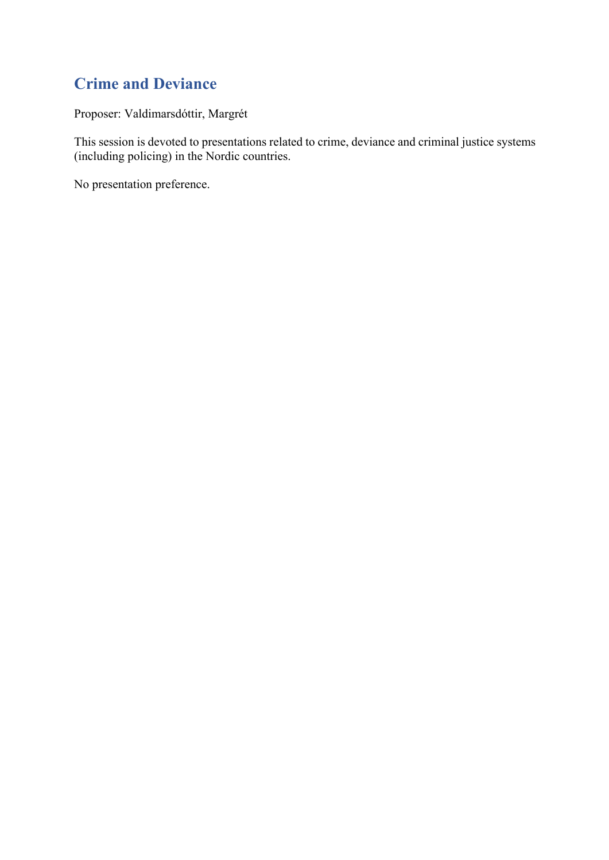# **Crime and Deviance**

Proposer: Valdimarsdóttir, Margrét

This session is devoted to presentations related to crime, deviance and criminal justice systems (including policing) in the Nordic countries.

No presentation preference.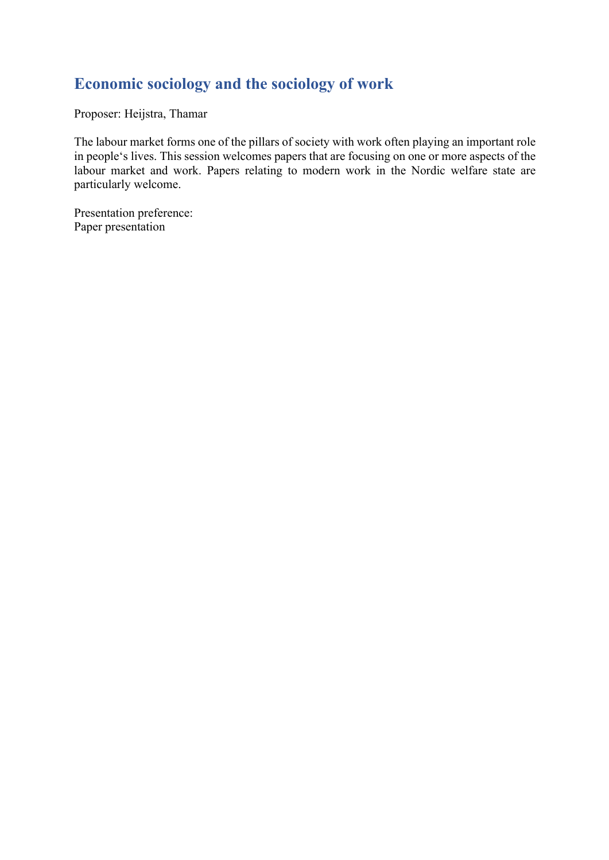# **Economic sociology and the sociology of work**

Proposer: Heijstra, Thamar

The labour market forms one of the pillars of society with work often playing an important role in people's lives. This session welcomes papers that are focusing on one or more aspects of the labour market and work. Papers relating to modern work in the Nordic welfare state are particularly welcome.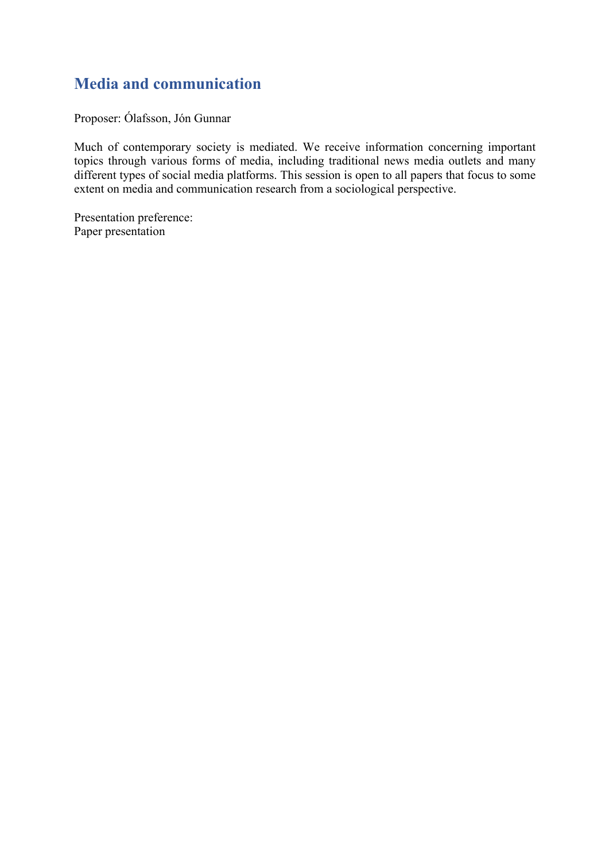## **Media and communication**

Proposer: Ólafsson, Jón Gunnar

Much of contemporary society is mediated. We receive information concerning important topics through various forms of media, including traditional news media outlets and many different types of social media platforms. This session is open to all papers that focus to some extent on media and communication research from a sociological perspective.